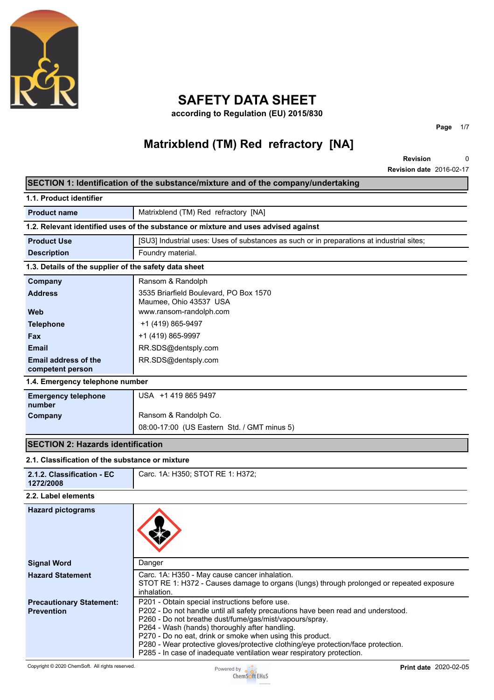

## **SAFETY DATA SHEET**

**according to Regulation (EU) 2015/830**

# **Matrixblend (TM) Red refractory [NA]**

**Revision Revision date** 2016-02-17 0

**Page** 1/7

|                                                       | SECTION 1: Identification of the substance/mixture and of the company/undertaking                                                                                                                                                                                                                                                                                                                                                                                          |
|-------------------------------------------------------|----------------------------------------------------------------------------------------------------------------------------------------------------------------------------------------------------------------------------------------------------------------------------------------------------------------------------------------------------------------------------------------------------------------------------------------------------------------------------|
| 1.1. Product identifier                               |                                                                                                                                                                                                                                                                                                                                                                                                                                                                            |
| <b>Product name</b>                                   | Matrixblend (TM) Red refractory [NA]                                                                                                                                                                                                                                                                                                                                                                                                                                       |
|                                                       | 1.2. Relevant identified uses of the substance or mixture and uses advised against                                                                                                                                                                                                                                                                                                                                                                                         |
| <b>Product Use</b>                                    | [SU3] Industrial uses: Uses of substances as such or in preparations at industrial sites;                                                                                                                                                                                                                                                                                                                                                                                  |
| <b>Description</b>                                    | Foundry material.                                                                                                                                                                                                                                                                                                                                                                                                                                                          |
| 1.3. Details of the supplier of the safety data sheet |                                                                                                                                                                                                                                                                                                                                                                                                                                                                            |
| Company                                               | Ransom & Randolph                                                                                                                                                                                                                                                                                                                                                                                                                                                          |
| <b>Address</b>                                        | 3535 Briarfield Boulevard, PO Box 1570                                                                                                                                                                                                                                                                                                                                                                                                                                     |
| <b>Web</b>                                            | Maumee, Ohio 43537 USA<br>www.ransom-randolph.com                                                                                                                                                                                                                                                                                                                                                                                                                          |
| <b>Telephone</b>                                      | +1 (419) 865-9497                                                                                                                                                                                                                                                                                                                                                                                                                                                          |
| Fax                                                   | +1 (419) 865-9997                                                                                                                                                                                                                                                                                                                                                                                                                                                          |
| <b>Email</b>                                          | RR.SDS@dentsply.com                                                                                                                                                                                                                                                                                                                                                                                                                                                        |
| <b>Email address of the</b>                           | RR.SDS@dentsply.com                                                                                                                                                                                                                                                                                                                                                                                                                                                        |
| competent person                                      |                                                                                                                                                                                                                                                                                                                                                                                                                                                                            |
| 1.4. Emergency telephone number                       |                                                                                                                                                                                                                                                                                                                                                                                                                                                                            |
| <b>Emergency telephone</b><br>number                  | USA +1 419 865 9497                                                                                                                                                                                                                                                                                                                                                                                                                                                        |
| Company                                               | Ransom & Randolph Co.                                                                                                                                                                                                                                                                                                                                                                                                                                                      |
|                                                       | 08:00-17:00 (US Eastern Std. / GMT minus 5)                                                                                                                                                                                                                                                                                                                                                                                                                                |
| <b>SECTION 2: Hazards identification</b>              |                                                                                                                                                                                                                                                                                                                                                                                                                                                                            |
| 2.1. Classification of the substance or mixture       |                                                                                                                                                                                                                                                                                                                                                                                                                                                                            |
| 2.1.2. Classification - EC<br>1272/2008               | Carc. 1A: H350; STOT RE 1: H372;                                                                                                                                                                                                                                                                                                                                                                                                                                           |
| 2.2. Label elements                                   |                                                                                                                                                                                                                                                                                                                                                                                                                                                                            |
| <b>Hazard pictograms</b>                              |                                                                                                                                                                                                                                                                                                                                                                                                                                                                            |
| <b>Signal Word</b>                                    | Danger                                                                                                                                                                                                                                                                                                                                                                                                                                                                     |
| <b>Hazard Statement</b>                               | Carc. 1A: H350 - May cause cancer inhalation.<br>STOT RE 1: H372 - Causes damage to organs (lungs) through prolonged or repeated exposure<br>inhalation.                                                                                                                                                                                                                                                                                                                   |
| <b>Precautionary Statement:</b><br><b>Prevention</b>  | P201 - Obtain special instructions before use.<br>P202 - Do not handle until all safety precautions have been read and understood.<br>P260 - Do not breathe dust/fume/gas/mist/vapours/spray.<br>P264 - Wash (hands) thoroughly after handling.<br>P270 - Do no eat, drink or smoke when using this product.<br>P280 - Wear protective gloves/protective clothing/eye protection/face protection.<br>P285 - In case of inadequate ventilation wear respiratory protection. |

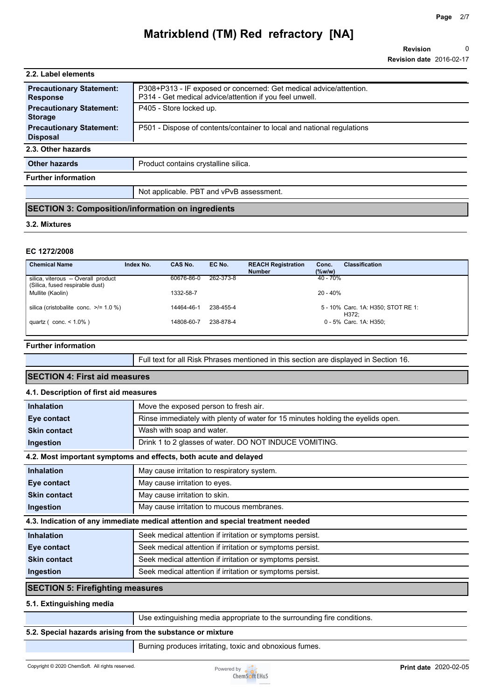**Revision Revision date** 2016-02-17 0

| 2.2. Label elements                                |                                                                                                                               |
|----------------------------------------------------|-------------------------------------------------------------------------------------------------------------------------------|
| <b>Precautionary Statement:</b><br><b>Response</b> | P308+P313 - IF exposed or concerned: Get medical advice/attention.<br>P314 - Get medical advice/attention if you feel unwell. |
| <b>Precautionary Statement:</b><br><b>Storage</b>  | P405 - Store locked up.                                                                                                       |
| <b>Precautionary Statement:</b><br><b>Disposal</b> | P501 - Dispose of contents/container to local and national regulations                                                        |
| 2.3. Other hazards                                 |                                                                                                                               |
| <b>Other hazards</b>                               | Product contains crystalline silica.                                                                                          |
| <b>Further information</b>                         |                                                                                                                               |
|                                                    | Not applicable. PBT and vPvB assessment.                                                                                      |

## **SECTION 3: Composition/information on ingredients**

#### **3.2. Mixtures**

#### **EC 1272/2008**

| <b>Chemical Name</b>                                                   | Index No. | CAS No.    | EC No.    | <b>REACH Registration</b><br><b>Number</b> | Conc.<br>$(\%w/w)$ | <b>Classification</b>                       |
|------------------------------------------------------------------------|-----------|------------|-----------|--------------------------------------------|--------------------|---------------------------------------------|
| silica, viterous -- Overall product<br>(Silica, fused respirable dust) |           | 60676-86-0 | 262-373-8 |                                            | $40 - 70%$         |                                             |
| Mullite (Kaolin)                                                       |           | 1332-58-7  |           |                                            | $20 - 40%$         |                                             |
| silica (cristobalite conc. $\ge$ /= 1.0 %)                             |           | 14464-46-1 | 238-455-4 |                                            |                    | 5 - 10% Carc. 1A: H350; STOT RE 1:<br>H372: |
| quartz ( $\text{conc.} < 1.0\%$ )                                      |           | 14808-60-7 | 238-878-4 |                                            |                    | 0 - 5% Carc. 1A: H350:                      |

#### **Further information**

Full text for all Risk Phrases mentioned in this section are displayed in Section 16.

## **SECTION 4: First aid measures 4.1. Description of first aid measures**

| <b>Inhalation</b>                                                               | Move the exposed person to fresh air.                                           |  |
|---------------------------------------------------------------------------------|---------------------------------------------------------------------------------|--|
| Eye contact                                                                     | Rinse immediately with plenty of water for 15 minutes holding the eyelids open. |  |
| <b>Skin contact</b>                                                             | Wash with soap and water.                                                       |  |
| Ingestion                                                                       | Drink 1 to 2 glasses of water. DO NOT INDUCE VOMITING.                          |  |
|                                                                                 | 4.2. Most important symptoms and effects, both acute and delayed                |  |
| <b>Inhalation</b>                                                               | May cause irritation to respiratory system.                                     |  |
| Eye contact                                                                     | May cause irritation to eyes.                                                   |  |
| <b>Skin contact</b>                                                             | May cause irritation to skin.                                                   |  |
| Ingestion                                                                       | May cause irritation to mucous membranes.                                       |  |
| 4.3. Indication of any immediate medical attention and special treatment needed |                                                                                 |  |
| <b>Inhalation</b>                                                               | Seek medical attention if irritation or symptoms persist.                       |  |
| Eye contact                                                                     | Seek medical attention if irritation or symptoms persist.                       |  |
| <b>Skin contact</b>                                                             | Seek medical attention if irritation or symptoms persist.                       |  |
| Ingestion                                                                       | Seek medical attention if irritation or symptoms persist.                       |  |
| <b>SECTION 5: Firefighting measures</b>                                         |                                                                                 |  |

#### **5.1. Extinguishing media**

Use extinguishing media appropriate to the surrounding fire conditions.

#### **5.2. Special hazards arising from the substance or mixture**

Burning produces irritating, toxic and obnoxious fumes.

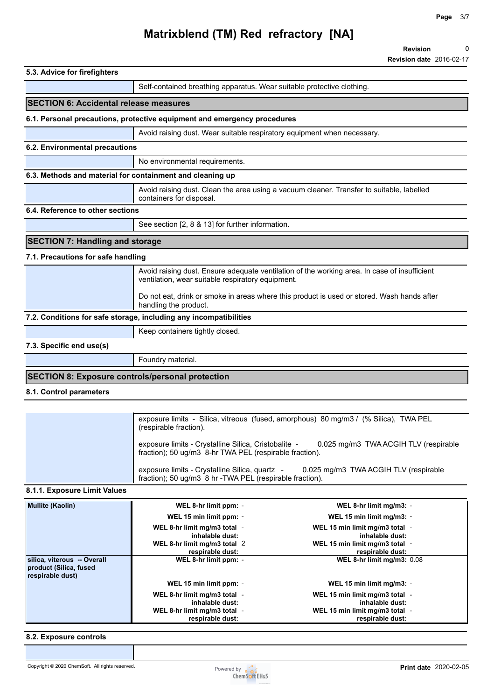| 5.3. Advice for firefighters                              |                                                                                                                                                   |
|-----------------------------------------------------------|---------------------------------------------------------------------------------------------------------------------------------------------------|
|                                                           | Self-contained breathing apparatus. Wear suitable protective clothing.                                                                            |
| <b>SECTION 6: Accidental release measures</b>             |                                                                                                                                                   |
|                                                           | 6.1. Personal precautions, protective equipment and emergency procedures                                                                          |
|                                                           | Avoid raising dust. Wear suitable respiratory equipment when necessary.                                                                           |
| 6.2. Environmental precautions                            |                                                                                                                                                   |
|                                                           | No environmental requirements.                                                                                                                    |
| 6.3. Methods and material for containment and cleaning up |                                                                                                                                                   |
|                                                           | Avoid raising dust. Clean the area using a vacuum cleaner. Transfer to suitable, labelled<br>containers for disposal.                             |
| 6.4. Reference to other sections                          |                                                                                                                                                   |
|                                                           | See section [2, 8 & 13] for further information.                                                                                                  |
| <b>SECTION 7: Handling and storage</b>                    |                                                                                                                                                   |
| 7.1. Precautions for safe handling                        |                                                                                                                                                   |
|                                                           | Avoid raising dust. Ensure adequate ventilation of the working area. In case of insufficient<br>ventilation, wear suitable respiratory equipment. |
|                                                           | Do not eat, drink or smoke in areas where this product is used or stored. Wash hands after<br>handling the product.                               |
|                                                           | 7.2. Conditions for safe storage, including any incompatibilities                                                                                 |
|                                                           |                                                                                                                                                   |
|                                                           | Keep containers tightly closed.                                                                                                                   |
| 7.3. Specific end use(s)                                  |                                                                                                                                                   |
|                                                           | Foundry material.                                                                                                                                 |
| <b>SECTION 8: Exposure controls/personal protection</b>   |                                                                                                                                                   |

| exposure limits - Silica, vitreous (fused, amorphous) 80 mg/m3 / (% Silica), TWA PEL<br>(respirable fraction).                                           |
|----------------------------------------------------------------------------------------------------------------------------------------------------------|
| 0.025 mg/m3 TWA ACGIH TLV (respirable<br>exposure limits - Crystalline Silica, Cristobalite -<br>fraction); 50 ug/m3 8-hr TWA PEL (respirable fraction). |
| exposure limits - Crystalline Silica, quartz -<br>0.025 mg/m3 TWA ACGIH TLV (respirable<br>fraction); 50 ug/m3 8 hr - TWA PEL (respirable fraction).     |

## **8.1.1. Exposure Limit Values**

| <b>Mullite (Kaolin)</b>                                                   | WEL 8-hr limit ppm: -<br>WEL 15 min limit ppm: - | WEL 8-hr limit mg/m3: -<br>WEL 15 min limit mg/m3: - |
|---------------------------------------------------------------------------|--------------------------------------------------|------------------------------------------------------|
|                                                                           | WEL 8-hr limit mg/m3 total -<br>inhalable dust:  | WEL 15 min limit mg/m3 total -<br>inhalable dust:    |
|                                                                           | WEL 8-hr limit mg/m3 total 2<br>respirable dust: | WEL 15 min limit mg/m3 total -<br>respirable dust:   |
| silica, viterous -- Overall<br>product (Silica, fused<br>respirable dust) | WEL 8-hr limit ppm: -                            | WEL 8-hr limit mg/m3: 0.08                           |
|                                                                           | WEL 15 min limit ppm: -                          | WEL 15 min limit mg/m3: -                            |
|                                                                           | WEL 8-hr limit mg/m3 total -<br>inhalable dust:  | WEL 15 min limit mg/m3 total -<br>inhalable dust:    |
|                                                                           | WEL 8-hr limit mg/m3 total -<br>respirable dust: | WEL 15 min limit mg/m3 total -<br>respirable dust:   |

## **8.2. Exposure controls**

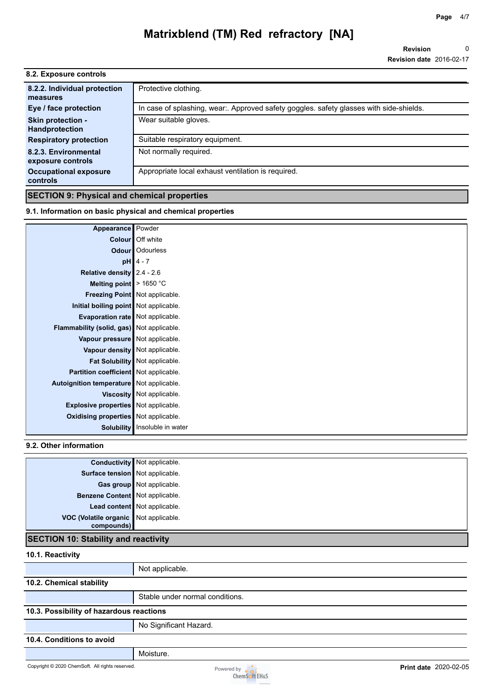**Revision Revision date** 2016-02-17 0

| 8.2. Exposure controls                     |                                                                                         |
|--------------------------------------------|-----------------------------------------------------------------------------------------|
| 8.2.2. Individual protection               | Protective clothing.                                                                    |
| measures                                   |                                                                                         |
| Eye / face protection                      | In case of splashing, wear:. Approved safety goggles. safety glasses with side-shields. |
| Skin protection -<br><b>Handprotection</b> | Wear suitable gloves.                                                                   |
| <b>Respiratory protection</b>              | Suitable respiratory equipment.                                                         |
| 8.2.3. Environmental<br>exposure controls  | Not normally required.                                                                  |
| <b>Occupational exposure</b><br>controls   | Appropriate local exhaust ventilation is required.                                      |
|                                            |                                                                                         |

## **SECTION 9: Physical and chemical properties**

### **9.1. Information on basic physical and chemical properties**

| Appearance Powder                           |                                      |
|---------------------------------------------|--------------------------------------|
|                                             | Colour   Off white                   |
|                                             | <b>Odour</b> Odourless               |
|                                             | $pH$ 4 - 7                           |
| Relative density $2.4 - 2.6$                |                                      |
| Melting point   > 1650 °C                   |                                      |
| Freezing Point Not applicable.              |                                      |
| Initial boiling point Not applicable.       |                                      |
| <b>Evaporation rate</b> Not applicable.     |                                      |
| Flammability (solid, gas) Not applicable.   |                                      |
| Vapour pressure Not applicable.             |                                      |
| Vapour density Not applicable.              |                                      |
|                                             | Fat Solubility Not applicable.       |
| Partition coefficient Not applicable.       |                                      |
| Autoignition temperature Not applicable.    |                                      |
|                                             | Viscosity   Not applicable.          |
| <b>Explosive properties</b> Not applicable. |                                      |
| <b>Oxidising properties</b> Not applicable. |                                      |
|                                             | <b>Solubility</b> Insoluble in water |

### **9.2. Other information**

|                                                     | <b>Conductivity</b> Not applicable. |
|-----------------------------------------------------|-------------------------------------|
| Surface tension Not applicable.                     |                                     |
|                                                     | Gas group Not applicable.           |
| Benzene Content Not applicable.                     |                                     |
|                                                     | Lead content Not applicable.        |
| VOC (Volatile organic Not applicable.<br>compounds) |                                     |
|                                                     |                                     |

### **SECTION 10: Stability and reactivity**

## **10.1. Reactivity**

|                                          | Not applicable.                 |  |
|------------------------------------------|---------------------------------|--|
| 10.2. Chemical stability                 |                                 |  |
|                                          | Stable under normal conditions. |  |
| 10.3. Possibility of hazardous reactions |                                 |  |
|                                          | No Significant Hazard.          |  |
| 10.4. Conditions to avoid                |                                 |  |

Moisture.

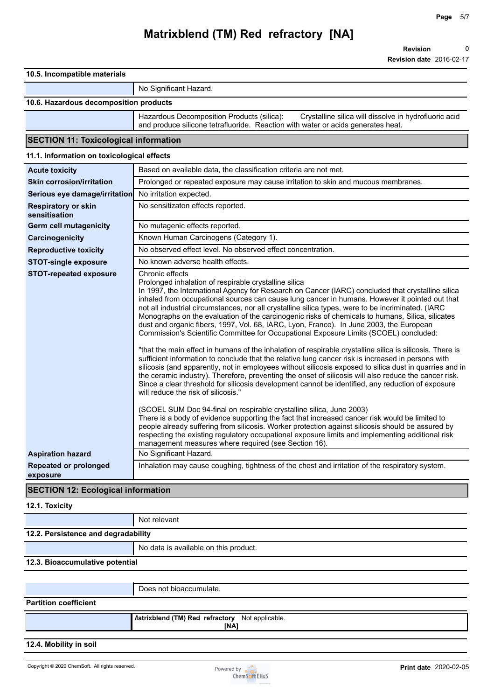**Revision** 0

**Revision date** 2016-02-17

#### **10.5. Incompatible materials**

No Significant Hazard.

#### **10.6. Hazardous decomposition products**

Hazardous Decomposition Products (silica): Crystalline silica will dissolve in hydrofluoric acid and produce silicone tetrafluoride. Reaction with water or acids generates heat.

### **SECTION 11: Toxicological information**

#### **11.1. Information on toxicological effects**

| <b>Acute toxicity</b>                       | Based on available data, the classification criteria are not met.                                                                                                                                                                                                                                                                                                                                                                                                                                                                                                                                                                                                                                                                                                                                                                                                                                                                                                                                                                                                                                                                                                                                                                                                |
|---------------------------------------------|------------------------------------------------------------------------------------------------------------------------------------------------------------------------------------------------------------------------------------------------------------------------------------------------------------------------------------------------------------------------------------------------------------------------------------------------------------------------------------------------------------------------------------------------------------------------------------------------------------------------------------------------------------------------------------------------------------------------------------------------------------------------------------------------------------------------------------------------------------------------------------------------------------------------------------------------------------------------------------------------------------------------------------------------------------------------------------------------------------------------------------------------------------------------------------------------------------------------------------------------------------------|
| <b>Skin corrosion/irritation</b>            | Prolonged or repeated exposure may cause irritation to skin and mucous membranes.                                                                                                                                                                                                                                                                                                                                                                                                                                                                                                                                                                                                                                                                                                                                                                                                                                                                                                                                                                                                                                                                                                                                                                                |
| Serious eye damage/irritation               | No irritation expected.                                                                                                                                                                                                                                                                                                                                                                                                                                                                                                                                                                                                                                                                                                                                                                                                                                                                                                                                                                                                                                                                                                                                                                                                                                          |
| <b>Respiratory or skin</b><br>sensitisation | No sensitizaton effects reported.                                                                                                                                                                                                                                                                                                                                                                                                                                                                                                                                                                                                                                                                                                                                                                                                                                                                                                                                                                                                                                                                                                                                                                                                                                |
| <b>Germ cell mutagenicity</b>               | No mutagenic effects reported.                                                                                                                                                                                                                                                                                                                                                                                                                                                                                                                                                                                                                                                                                                                                                                                                                                                                                                                                                                                                                                                                                                                                                                                                                                   |
| Carcinogenicity                             | Known Human Carcinogens (Category 1).                                                                                                                                                                                                                                                                                                                                                                                                                                                                                                                                                                                                                                                                                                                                                                                                                                                                                                                                                                                                                                                                                                                                                                                                                            |
| <b>Reproductive toxicity</b>                | No observed effect level. No observed effect concentration.                                                                                                                                                                                                                                                                                                                                                                                                                                                                                                                                                                                                                                                                                                                                                                                                                                                                                                                                                                                                                                                                                                                                                                                                      |
| <b>STOT-single exposure</b>                 | No known adverse health effects.                                                                                                                                                                                                                                                                                                                                                                                                                                                                                                                                                                                                                                                                                                                                                                                                                                                                                                                                                                                                                                                                                                                                                                                                                                 |
| <b>STOT-repeated exposure</b>               | Chronic effects<br>Prolonged inhalation of respirable crystalline silica<br>In 1997, the International Agency for Research on Cancer (IARC) concluded that crystalline silica<br>inhaled from occupational sources can cause lung cancer in humans. However it pointed out that<br>not all industrial circumstances, nor all crystalline silica types, were to be incriminated. (IARC<br>Monographs on the evaluation of the carcinogenic risks of chemicals to humans, Silica, silicates<br>dust and organic fibers, 1997, Vol. 68, IARC, Lyon, France). In June 2003, the European<br>Commission's Scientific Committee for Occupational Exposure Limits (SCOEL) concluded:<br>"that the main effect in humans of the inhalation of respirable crystalline silica is silicosis. There is<br>sufficient information to conclude that the relative lung cancer risk is increased in persons with<br>silicosis (and apparently, not in employees without silicosis exposed to silica dust in quarries and in<br>the ceramic industry). Therefore, preventing the onset of silicosis will also reduce the cancer risk.<br>Since a clear threshold for silicosis development cannot be identified, any reduction of exposure<br>will reduce the risk of silicosis." |
|                                             | (SCOEL SUM Doc 94-final on respirable crystalline silica, June 2003)<br>There is a body of evidence supporting the fact that increased cancer risk would be limited to<br>people already suffering from silicosis. Worker protection against silicosis should be assured by<br>respecting the existing regulatory occupational exposure limits and implementing additional risk<br>management measures where required (see Section 16).                                                                                                                                                                                                                                                                                                                                                                                                                                                                                                                                                                                                                                                                                                                                                                                                                          |
| <b>Aspiration hazard</b>                    | No Significant Hazard.                                                                                                                                                                                                                                                                                                                                                                                                                                                                                                                                                                                                                                                                                                                                                                                                                                                                                                                                                                                                                                                                                                                                                                                                                                           |
| <b>Repeated or prolonged</b><br>exposure    | Inhalation may cause coughing, tightness of the chest and irritation of the respiratory system.                                                                                                                                                                                                                                                                                                                                                                                                                                                                                                                                                                                                                                                                                                                                                                                                                                                                                                                                                                                                                                                                                                                                                                  |

## **SECTION 12: Ecological information**

#### **12.1. Toxicity**

Not relevant

| 12.2. Persistence and degradability |                                       |  |
|-------------------------------------|---------------------------------------|--|
|                                     | No data is available on this product. |  |
| 12.3. Bioaccumulative potential     |                                       |  |
|                                     |                                       |  |

|                              | <b>INA</b>                                                    |
|------------------------------|---------------------------------------------------------------|
|                              | <b><i>Matrixblend (TM)</i></b> Red refractory Not applicable. |
| <b>Partition coefficient</b> |                                                               |
|                              |                                                               |
|                              | Does not bioaccumulate.                                       |

#### **12.4. Mobility in soil**

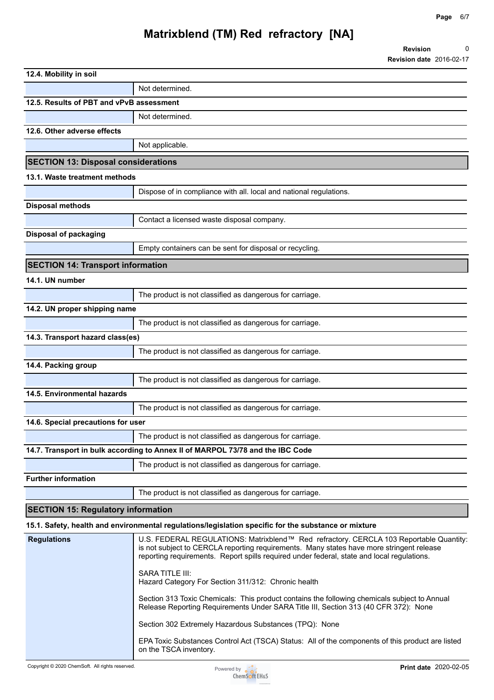| 12.4. Mobility in soil                     |                                                                                |  |  |  |
|--------------------------------------------|--------------------------------------------------------------------------------|--|--|--|
|                                            | Not determined.                                                                |  |  |  |
| 12.5. Results of PBT and vPvB assessment   |                                                                                |  |  |  |
|                                            | Not determined.                                                                |  |  |  |
| 12.6. Other adverse effects                |                                                                                |  |  |  |
|                                            | Not applicable.                                                                |  |  |  |
| <b>SECTION 13: Disposal considerations</b> |                                                                                |  |  |  |
| 13.1. Waste treatment methods              |                                                                                |  |  |  |
|                                            | Dispose of in compliance with all. local and national regulations.             |  |  |  |
| <b>Disposal methods</b>                    |                                                                                |  |  |  |
|                                            | Contact a licensed waste disposal company.                                     |  |  |  |
| <b>Disposal of packaging</b>               |                                                                                |  |  |  |
|                                            | Empty containers can be sent for disposal or recycling.                        |  |  |  |
| <b>SECTION 14: Transport information</b>   |                                                                                |  |  |  |
| 14.1. UN number                            |                                                                                |  |  |  |
|                                            | The product is not classified as dangerous for carriage.                       |  |  |  |
| 14.2. UN proper shipping name              |                                                                                |  |  |  |
|                                            | The product is not classified as dangerous for carriage.                       |  |  |  |
| 14.3. Transport hazard class(es)           |                                                                                |  |  |  |
|                                            | The product is not classified as dangerous for carriage.                       |  |  |  |
| 14.4. Packing group                        |                                                                                |  |  |  |
|                                            | The product is not classified as dangerous for carriage.                       |  |  |  |
| 14.5. Environmental hazards                |                                                                                |  |  |  |
|                                            | The product is not classified as dangerous for carriage.                       |  |  |  |
| 14.6. Special precautions for user         |                                                                                |  |  |  |
|                                            | The product is not classified as dangerous for carriage.                       |  |  |  |
|                                            | 14.7. Transport in bulk according to Annex II of MARPOL 73/78 and the IBC Code |  |  |  |
|                                            | The product is not classified as dangerous for carriage.                       |  |  |  |
| <b>Further information</b>                 |                                                                                |  |  |  |
|                                            | The product is not classified as dangerous for carriage.                       |  |  |  |
| <b>SECTION 15: Regulatory information</b>  |                                                                                |  |  |  |

### **15.1. Safety, health and environmental regulations/legislation specific for the substance or mixture**

| <b>Regulations</b> | U.S. FEDERAL REGULATIONS: Matrixblend™ Red refractory. CERCLA 103 Reportable Quantity:<br>is not subject to CERCLA reporting requirements. Many states have more stringent release<br>reporting requirements. Report spills required under federal, state and local regulations. |
|--------------------|----------------------------------------------------------------------------------------------------------------------------------------------------------------------------------------------------------------------------------------------------------------------------------|
|                    | <b>SARA TITLE III:</b><br>Hazard Category For Section 311/312: Chronic health                                                                                                                                                                                                    |
|                    | Section 313 Toxic Chemicals: This product contains the following chemicals subject to Annual<br>Release Reporting Requirements Under SARA Title III, Section 313 (40 CFR 372): None                                                                                              |
|                    | Section 302 Extremely Hazardous Substances (TPQ): None                                                                                                                                                                                                                           |
|                    | EPA Toxic Substances Control Act (TSCA) Status: All of the components of this product are listed<br>on the TSCA inventory.                                                                                                                                                       |